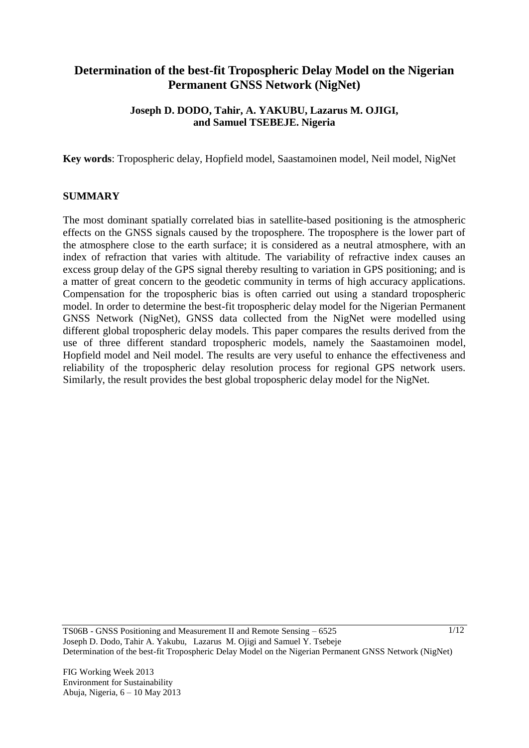# **Determination of the best-fit Tropospheric Delay Model on the Nigerian Permanent GNSS Network (NigNet)**

## **Joseph D. DODO, Tahir, A. YAKUBU, Lazarus M. OJIGI, and Samuel TSEBEJE. Nigeria**

**Key words**: Tropospheric delay, Hopfield model, Saastamoinen model, Neil model, NigNet

#### **SUMMARY**

The most dominant spatially correlated bias in satellite-based positioning is the atmospheric effects on the GNSS signals caused by the troposphere. The troposphere is the lower part of the atmosphere close to the earth surface; it is considered as a neutral atmosphere, with an index of refraction that varies with altitude. The variability of refractive index causes an excess group delay of the GPS signal thereby resulting to variation in GPS positioning; and is a matter of great concern to the geodetic community in terms of high accuracy applications. Compensation for the tropospheric bias is often carried out using a standard tropospheric model. In order to determine the best-fit tropospheric delay model for the Nigerian Permanent GNSS Network (NigNet), GNSS data collected from the NigNet were modelled using different global tropospheric delay models. This paper compares the results derived from the use of three different standard tropospheric models, namely the Saastamoinen model, Hopfield model and Neil model. The results are very useful to enhance the effectiveness and reliability of the tropospheric delay resolution process for regional GPS network users. Similarly, the result provides the best global tropospheric delay model for the NigNet.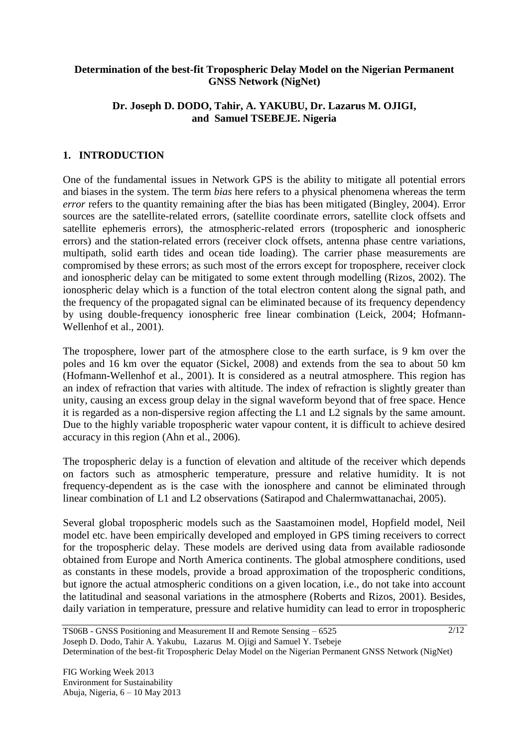### **Determination of the best-fit Tropospheric Delay Model on the Nigerian Permanent GNSS Network (NigNet)**

## **Dr. Joseph D. DODO, Tahir, A. YAKUBU, Dr. Lazarus M. OJIGI, and Samuel TSEBEJE. Nigeria**

## **1. INTRODUCTION**

One of the fundamental issues in Network GPS is the ability to mitigate all potential errors and biases in the system. The term *bias* here refers to a physical phenomena whereas the term *error* refers to the quantity remaining after the bias has been mitigated (Bingley, 2004). Error sources are the satellite-related errors, (satellite coordinate errors, satellite clock offsets and satellite ephemeris errors), the atmospheric-related errors (tropospheric and ionospheric errors) and the station-related errors (receiver clock offsets, antenna phase centre variations, multipath, solid earth tides and ocean tide loading). The carrier phase measurements are compromised by these errors; as such most of the errors except for troposphere, receiver clock and ionospheric delay can be mitigated to some extent through modelling (Rizos, 2002). The ionospheric delay which is a function of the total electron content along the signal path, and the frequency of the propagated signal can be eliminated because of its frequency dependency by using double-frequency ionospheric free linear combination (Leick, 2004; Hofmann-Wellenhof et al., 2001).

The troposphere, lower part of the atmosphere close to the earth surface, is 9 km over the poles and 16 km over the equator (Sickel, 2008) and extends from the sea to about 50 km (Hofmann-Wellenhof et al., 2001). It is considered as a neutral atmosphere. This region has an index of refraction that varies with altitude. The index of refraction is slightly greater than unity, causing an excess group delay in the signal waveform beyond that of free space. Hence it is regarded as a non-dispersive region affecting the L1 and L2 signals by the same amount. Due to the highly variable tropospheric water vapour content, it is difficult to achieve desired accuracy in this region (Ahn et al., 2006).

The tropospheric delay is a function of elevation and altitude of the receiver which depends on factors such as atmospheric temperature, pressure and relative humidity. It is not frequency-dependent as is the case with the ionosphere and cannot be eliminated through linear combination of L1 and L2 observations (Satirapod and Chalermwattanachai, 2005).

Several global tropospheric models such as the Saastamoinen model, Hopfield model, Neil model etc. have been empirically developed and employed in GPS timing receivers to correct for the tropospheric delay. These models are derived using data from available radiosonde obtained from Europe and North America continents. The global atmosphere conditions, used as constants in these models, provide a broad approximation of the tropospheric conditions, but ignore the actual atmospheric conditions on a given location, i.e., do not take into account the latitudinal and seasonal variations in the atmosphere (Roberts and Rizos, 2001). Besides, daily variation in temperature, pressure and relative humidity can lead to error in tropospheric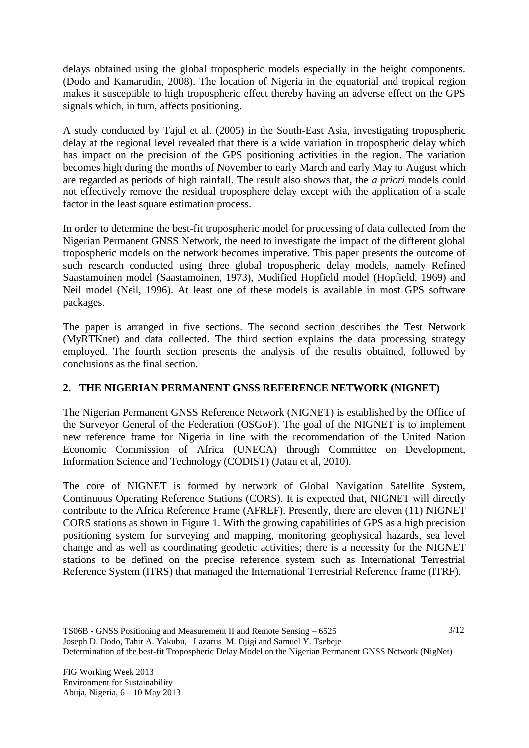delays obtained using the global tropospheric models especially in the height components. (Dodo and Kamarudin, 2008). The location of Nigeria in the equatorial and tropical region makes it susceptible to high tropospheric effect thereby having an adverse effect on the GPS signals which, in turn, affects positioning.

A study conducted by Tajul et al. (2005) in the South-East Asia, investigating tropospheric delay at the regional level revealed that there is a wide variation in tropospheric delay which has impact on the precision of the GPS positioning activities in the region. The variation becomes high during the months of November to early March and early May to August which are regarded as periods of high rainfall. The result also shows that, the *a priori* models could not effectively remove the residual troposphere delay except with the application of a scale factor in the least square estimation process.

In order to determine the best-fit tropospheric model for processing of data collected from the Nigerian Permanent GNSS Network, the need to investigate the impact of the different global tropospheric models on the network becomes imperative. This paper presents the outcome of such research conducted using three global tropospheric delay models, namely Refined Saastamoinen model (Saastamoinen, 1973), Modified Hopfield model (Hopfield, 1969) and Neil model (Neil, 1996). At least one of these models is available in most GPS software packages.

The paper is arranged in five sections. The second section describes the Test Network (MyRTKnet) and data collected. The third section explains the data processing strategy employed. The fourth section presents the analysis of the results obtained, followed by conclusions as the final section.

## **2. THE NIGERIAN PERMANENT GNSS REFERENCE NETWORK (NIGNET)**

The Nigerian Permanent GNSS Reference Network (NIGNET) is established by the Office of the Surveyor General of the Federation (OSGoF). The goal of the NIGNET is to implement new reference frame for Nigeria in line with the recommendation of the United Nation Economic Commission of Africa (UNECA) through Committee on Development, Information Science and Technology (CODIST) (Jatau et al, 2010).

The core of NIGNET is formed by network of Global Navigation Satellite System, Continuous Operating Reference Stations (CORS). It is expected that, NIGNET will directly contribute to the Africa Reference Frame (AFREF). Presently, there are eleven (11) NIGNET CORS stations as shown in Figure 1. With the growing capabilities of GPS as a high precision positioning system for surveying and mapping, monitoring geophysical hazards, sea level change and as well as coordinating geodetic activities; there is a necessity for the NIGNET stations to be defined on the precise reference system such as International Terrestrial Reference System (ITRS) that managed the International Terrestrial Reference frame (ITRF).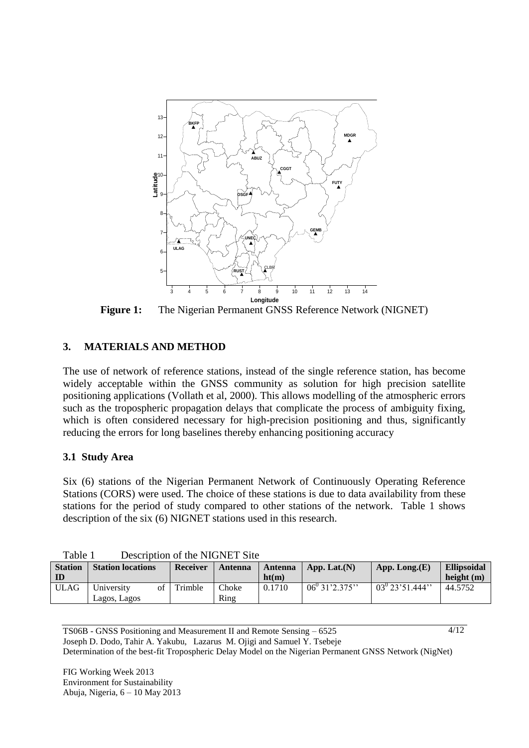

**Figure 1:** The Nigerian Permanent GNSS Reference Network (NIGNET)

## **3. MATERIALS AND METHOD**

The use of network of reference stations, instead of the single reference station, has become widely acceptable within the GNSS community as solution for high precision satellite positioning applications (Vollath et al, 2000). This allows modelling of the atmospheric errors such as the tropospheric propagation delays that complicate the process of ambiguity fixing, which is often considered necessary for high-precision positioning and thus, significantly reducing the errors for long baselines thereby enhancing positioning accuracy

#### **3.1 Study Area**

Six (6) stations of the Nigerian Permanent Network of Continuously Operating Reference Stations (CORS) were used. The choice of these stations is due to data availability from these stations for the period of study compared to other stations of the network. Table 1 shows description of the six (6) NIGNET stations used in this research.

| ravie i<br>Describiton of the NIGNET Site |                          |                 |         |         |                     |                      |                    |  |  |
|-------------------------------------------|--------------------------|-----------------|---------|---------|---------------------|----------------------|--------------------|--|--|
| <b>Station</b>                            | <b>Station locations</b> | <b>Receiver</b> | Antenna | Antenna | App. Lat. $(N)$     | App. Long. $(E)$     | <b>Ellipsoidal</b> |  |  |
| ID                                        |                          |                 |         | ht(m)   |                     |                      | height $(m)$       |  |  |
| <b>ULAG</b>                               | University<br>ΩŤ         | l Trimble       | Choke   | 0.1710  | $06^{0}$ 31'2.375'' | $03^{0}$ 23'51.444'' | 44.5752            |  |  |
|                                           | Lagos, Lagos             |                 | Ring    |         |                     |                      |                    |  |  |

Table 1 Description of the NIGNET Site

TS06B - GNSS Positioning and Measurement II and Remote Sensing – 6525 Joseph D. Dodo, Tahir A. Yakubu, Lazarus M. Ojigi and Samuel Y. Tsebeje Determination of the best-fit Tropospheric Delay Model on the Nigerian Permanent GNSS Network (NigNet)  $4/12$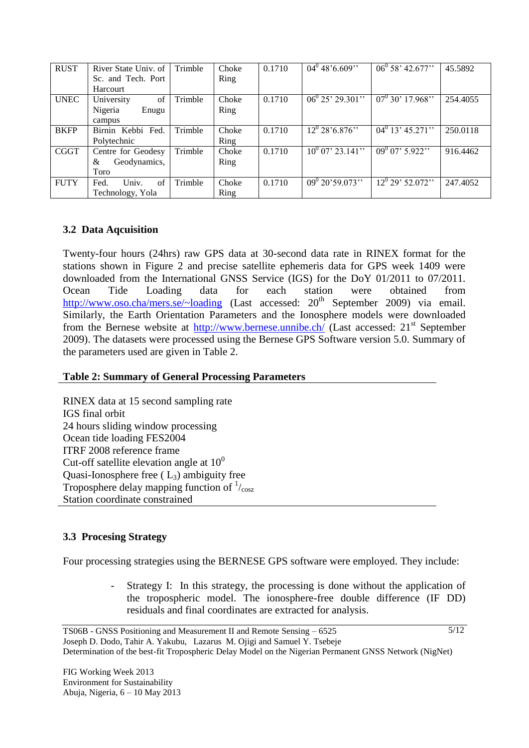| <b>RUST</b> | River State Univ. of | Trimble | Choke | 0.1710 | $04^0$ 48'6.609"      | $06^0 58' 42.677''$           | 45.5892  |
|-------------|----------------------|---------|-------|--------|-----------------------|-------------------------------|----------|
|             | Sc. and Tech. Port   |         | Ring  |        |                       |                               |          |
|             | Harcourt             |         |       |        |                       |                               |          |
| <b>UNEC</b> | of<br>University     | Trimble | Choke | 0.1710 | $06^0 25' 29.301''$   | $\frac{07^{0}30^{7}}{17.968}$ | 254.4055 |
|             | Nigeria<br>Enugu     |         | Ring  |        |                       |                               |          |
|             | campus               |         |       |        |                       |                               |          |
| <b>BKFP</b> | Birnin Kebbi Fed.    | Trimble | Choke | 0.1710 | $12^0$ 28'6.876"      | $04^0$ 13' 45.271''           | 250.0118 |
|             | Polytechnic          |         | Ring  |        |                       |                               |          |
| <b>CGGT</b> | Centre for Geodesy   | Trimble | Choke | 0.1710 | $10^{0}$ 07' 23.141'' | $\frac{1}{09^{0}07}$ , 5.922" | 916.4462 |
|             | Geodynamics,<br>&    |         | Ring  |        |                       |                               |          |
|             | Toro                 |         |       |        |                       |                               |          |
| <b>FUTY</b> | of<br>Univ.<br>Fed.  | Trimble | Choke | 0.1710 | $09^{0}$ 20'59.073"   | $\overline{12^0 29^2 52.072}$ | 247.4052 |
|             | Technology, Yola     |         | Ring  |        |                       |                               |          |

## **3.2 Data Aqcuisition**

Twenty-four hours (24hrs) raw GPS data at 30-second data rate in RINEX format for the stations shown in Figure 2 and precise satellite ephemeris data for GPS week 1409 were downloaded from the International GNSS Service (IGS) for the DoY 01/2011 to 07/2011. Ocean Tide Loading data for each station were obtained from <http://www.oso.cha/mers.se/~loading> (Last accessed:  $20<sup>th</sup>$  September 2009) via email. Similarly, the Earth Orientation Parameters and the Ionosphere models were downloaded from the Bernese website at  $\frac{http://www.bernese.unnibe.ch/}{http://www.bernese.unnibe.ch/}$  $\frac{http://www.bernese.unnibe.ch/}{http://www.bernese.unnibe.ch/}$  $\frac{http://www.bernese.unnibe.ch/}{http://www.bernese.unnibe.ch/}$  (Last accessed:  $21^{st}$  September 2009). The datasets were processed using the Bernese GPS Software version 5.0. Summary of the parameters used are given in Table 2.

## **Table 2: Summary of General Processing Parameters**

RINEX data at 15 second sampling rate IGS final orbit 24 hours sliding window processing Ocean tide loading FES2004 ITRF 2008 reference frame Cut-off satellite elevation angle at  $10<sup>0</sup>$ Quasi-Ionosphere free  $(L_3)$  ambiguity free Troposphere delay mapping function of  $\frac{1}{\cos x}$ Station coordinate constrained

## **3.3 Procesing Strategy**

Four processing strategies using the BERNESE GPS software were employed. They include:

Strategy I: In this strategy, the processing is done without the application of the tropospheric model. The ionosphere-free double difference (IF DD) residuals and final coordinates are extracted for analysis.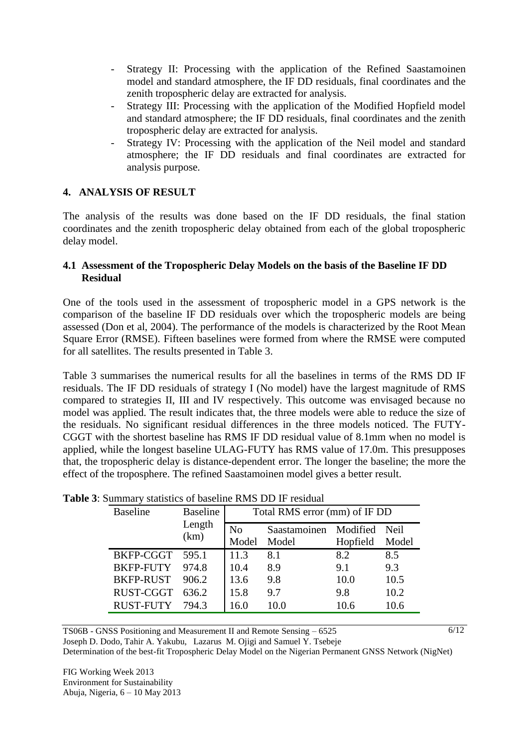- Strategy II: Processing with the application of the Refined Saastamoinen model and standard atmosphere, the IF DD residuals, final coordinates and the zenith tropospheric delay are extracted for analysis.
- Strategy III: Processing with the application of the Modified Hopfield model and standard atmosphere; the IF DD residuals, final coordinates and the zenith tropospheric delay are extracted for analysis.
- Strategy IV: Processing with the application of the Neil model and standard atmosphere; the IF DD residuals and final coordinates are extracted for analysis purpose.

## **4. ANALYSIS OF RESULT**

The analysis of the results was done based on the IF DD residuals, the final station coordinates and the zenith tropospheric delay obtained from each of the global tropospheric delay model.

#### **4.1 Assessment of the Tropospheric Delay Models on the basis of the Baseline IF DD Residual**

One of the tools used in the assessment of tropospheric model in a GPS network is the comparison of the baseline IF DD residuals over which the tropospheric models are being assessed (Don et al, 2004). The performance of the models is characterized by the Root Mean Square Error (RMSE). Fifteen baselines were formed from where the RMSE were computed for all satellites. The results presented in Table 3.

Table 3 summarises the numerical results for all the baselines in terms of the RMS DD IF residuals. The IF DD residuals of strategy I (No model) have the largest magnitude of RMS compared to strategies II, III and IV respectively. This outcome was envisaged because no model was applied. The result indicates that, the three models were able to reduce the size of the residuals. No significant residual differences in the three models noticed. The FUTY-CGGT with the shortest baseline has RMS IF DD residual value of 8.1mm when no model is applied, while the longest baseline ULAG-FUTY has RMS value of 17.0m. This presupposes that, the tropospheric delay is distance-dependent error. The longer the baseline; the more the effect of the troposphere. The refined Saastamoinen model gives a better result.

| <b>Baseline</b>  | <b>Baseline</b> | Total RMS error (mm) of IF DD |                       |                           |       |  |  |
|------------------|-----------------|-------------------------------|-----------------------|---------------------------|-------|--|--|
|                  | Length<br>(km)  | No<br>Model                   | Saastamoinen<br>Model | Modified Neil<br>Hopfield | Model |  |  |
| BKFP-CGGT        | 595.1           | 11.3                          | 8.1                   | 8.2                       | 8.5   |  |  |
| <b>BKFP-FUTY</b> | 974.8           | 10.4                          | 8.9                   | 9.1                       | 9.3   |  |  |
| <b>BKFP-RUST</b> | 906.2           | 13.6                          | 9.8                   | 10.0                      | 10.5  |  |  |
| RUST-CGGT        | 636.2           | 15.8                          | 9.7                   | 9.8                       | 10.2  |  |  |
| <b>RUST-FUTY</b> | 794.3           | 16.0                          | 10.0                  | 10.6                      | 10.6  |  |  |

| <b>Table 3:</b> Summary statistics of baseline RMS DD IF residual |  |  |  |  |
|-------------------------------------------------------------------|--|--|--|--|
|-------------------------------------------------------------------|--|--|--|--|

TS06B - GNSS Positioning and Measurement II and Remote Sensing – 6525 Joseph D. Dodo, Tahir A. Yakubu, Lazarus M. Ojigi and Samuel Y. Tsebeje Determination of the best-fit Tropospheric Delay Model on the Nigerian Permanent GNSS Network (NigNet)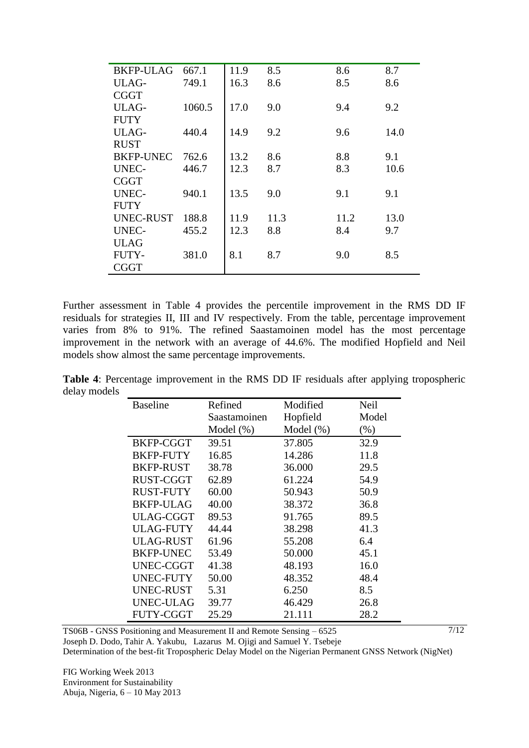| <b>BKFP-ULAG</b> | 667.1  | 11.9 | 8.5  | 8.6  | 8.7  |
|------------------|--------|------|------|------|------|
| ULAG-            | 749.1  | 16.3 | 8.6  | 8.5  | 8.6  |
| <b>CGGT</b>      |        |      |      |      |      |
| ULAG-            | 1060.5 | 17.0 | 9.0  | 9.4  | 9.2  |
| <b>FUTY</b>      |        |      |      |      |      |
| ULAG-            | 440.4  | 14.9 | 9.2  | 9.6  | 14.0 |
| <b>RUST</b>      |        |      |      |      |      |
| <b>BKFP-UNEC</b> | 762.6  | 13.2 | 8.6  | 8.8  | 9.1  |
| <b>UNEC-</b>     | 446.7  | 12.3 | 8.7  | 8.3  | 10.6 |
| <b>CGGT</b>      |        |      |      |      |      |
| <b>UNEC-</b>     | 940.1  | 13.5 | 9.0  | 9.1  | 9.1  |
| <b>FUTY</b>      |        |      |      |      |      |
| UNEC-RUST        | 188.8  | 11.9 | 11.3 | 11.2 | 13.0 |
| <b>UNEC-</b>     | 455.2  | 12.3 | 8.8  | 8.4  | 9.7  |
| <b>ULAG</b>      |        |      |      |      |      |
| <b>FUTY-</b>     | 381.0  | 8.1  | 8.7  | 9.0  | 8.5  |
| <b>CGGT</b>      |        |      |      |      |      |

Further assessment in Table 4 provides the percentile improvement in the RMS DD IF residuals for strategies II, III and IV respectively. From the table, percentage improvement varies from 8% to 91%. The refined Saastamoinen model has the most percentage improvement in the network with an average of 44.6%. The modified Hopfield and Neil models show almost the same percentage improvements.

**Table 4**: Percentage improvement in the RMS DD IF residuals after applying tropospheric delay models

| <b>Baseline</b>  | Refined      | Modified      | Neil  |
|------------------|--------------|---------------|-------|
|                  | Saastamoinen | Hopfield      | Model |
|                  | Model $(\%)$ | Model $(\% )$ | (% )  |
| BKFP-CGGT        | 39.51        | 37.805        | 32.9  |
| <b>BKFP-FUTY</b> | 16.85        | 14.286        | 11.8  |
| <b>BKFP-RUST</b> | 38.78        | 36.000        | 29.5  |
| RUST-CGGT        | 62.89        | 61.224        | 54.9  |
| <b>RUST-FUTY</b> | 60.00        | 50.943        | 50.9  |
| <b>BKFP-ULAG</b> | 40.00        | 38.372        | 36.8  |
| ULAG-CGGT        | 89.53        | 91.765        | 89.5  |
| <b>ULAG-FUTY</b> | 44.44        | 38.298        | 41.3  |
| <b>ULAG-RUST</b> | 61.96        | 55.208        | 6.4   |
| <b>BKFP-UNEC</b> | 53.49        | 50.000        | 45.1  |
| UNEC-CGGT        | 41.38        | 48.193        | 16.0  |
| UNEC-FUTY        | 50.00        | 48.352        | 48.4  |
| <b>UNEC-RUST</b> | 5.31         | 6.250         | 8.5   |
| <b>UNEC-ULAG</b> | 39.77        | 46.429        | 26.8  |
| FUTY-CGGT        | 25.29        | 21.111        | 28.2  |

TS06B - GNSS Positioning and Measurement II and Remote Sensing – 6525 Joseph D. Dodo, Tahir A. Yakubu, Lazarus M. Ojigi and Samuel Y. Tsebeje Determination of the best-fit Tropospheric Delay Model on the Nigerian Permanent GNSS Network (NigNet)  $7/12$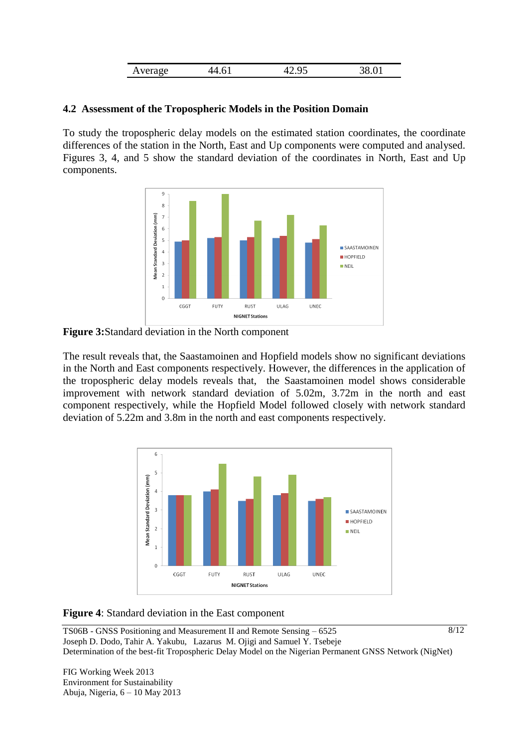| Average<br>1111 | . . | ີ<br>. | A |
|-----------------|-----|--------|---|

#### **4.2 Assessment of the Tropospheric Models in the Position Domain**

To study the tropospheric delay models on the estimated station coordinates, the coordinate differences of the station in the North, East and Up components were computed and analysed. Figures 3, 4, and 5 show the standard deviation of the coordinates in North, East and Up components.



**Figure 3:**Standard deviation in the North component

The result reveals that, the Saastamoinen and Hopfield models show no significant deviations in the North and East components respectively. However, the differences in the application of the tropospheric delay models reveals that, the Saastamoinen model shows considerable improvement with network standard deviation of 5.02m, 3.72m in the north and east component respectively, while the Hopfield Model followed closely with network standard deviation of 5.22m and 3.8m in the north and east components respectively.



**Figure 4**: Standard deviation in the East component

TS06B - GNSS Positioning and Measurement II and Remote Sensing – 6525 Joseph D. Dodo, Tahir A. Yakubu, Lazarus M. Ojigi and Samuel Y. Tsebeje Determination of the best-fit Tropospheric Delay Model on the Nigerian Permanent GNSS Network (NigNet)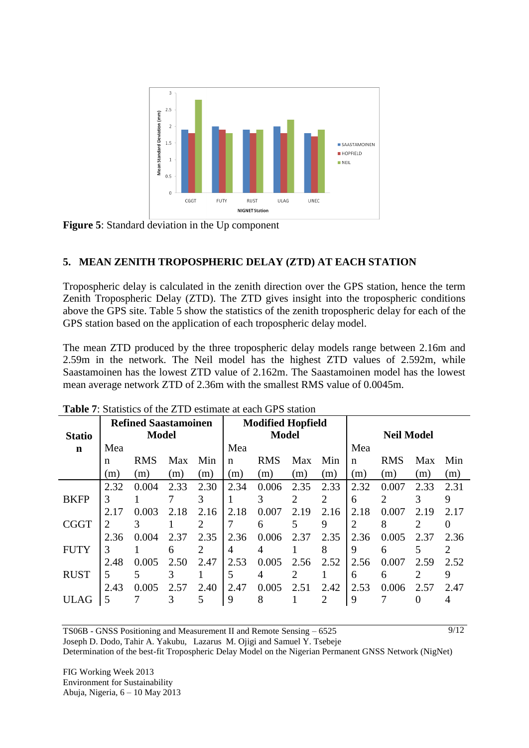

**Figure 5**: Standard deviation in the Up component

# **5. MEAN ZENITH TROPOSPHERIC DELAY (ZTD) AT EACH STATION**

Tropospheric delay is calculated in the zenith direction over the GPS station, hence the term Zenith Tropospheric Delay (ZTD). The ZTD gives insight into the tropospheric conditions above the GPS site. Table 5 show the statistics of the zenith tropospheric delay for each of the GPS station based on the application of each tropospheric delay model.

The mean ZTD produced by the three tropospheric delay models range between 2.16m and 2.59m in the network. The Neil model has the highest ZTD values of 2.592m, while Saastamoinen has the lowest ZTD value of 2.162m. The Saastamoinen model has the lowest mean average network ZTD of 2.36m with the smallest RMS value of 0.0045m.

|               | <b>Refined Saastamoinen</b> |              |      |                | <b>Modified Hopfield</b> |              |      |                |      |                   |      |      |
|---------------|-----------------------------|--------------|------|----------------|--------------------------|--------------|------|----------------|------|-------------------|------|------|
| <b>Statio</b> |                             | <b>Model</b> |      |                |                          | <b>Model</b> |      |                |      | <b>Neil Model</b> |      |      |
| n             | Mea                         |              |      |                | Mea                      |              |      |                | Mea  |                   |      |      |
|               | n                           | <b>RMS</b>   | Max  | Min            | n                        | <b>RMS</b>   | Max  | Min            | n    | <b>RMS</b>        | Max  | Min  |
|               | (m)                         | (m)          | (m)  | (m)            | (m)                      | (m)          | (m)  | (m)            | (m)  | (m)               | (m)  | (m)  |
|               | 2.32                        | 0.004        | 2.33 | 2.30           | 2.34                     | 0.006        | 2.35 | 2.33           | 2.32 | 0.007             | 2.33 | 2.31 |
| <b>BKFP</b>   | 3                           |              |      | 3              |                          | 3            | ∍    | $\overline{2}$ | 6    | $\mathfrak{D}$    | 3    | 9    |
|               | 2.17                        | 0.003        | 2.18 | 2.16           | 2.18                     | 0.007        | 2.19 | 2.16           | 2.18 | 0.007             | 2.19 | 2.17 |
| <b>CGGT</b>   | $\overline{2}$              | 3            |      | $\overline{2}$ |                          | 6            | 5    | 9              | 2    | 8                 | 2    |      |
|               | 2.36                        | 0.004        | 2.37 | 2.35           | 2.36                     | 0.006        | 2.37 | 2.35           | 2.36 | 0.005             | 2.37 | 2.36 |
| <b>FUTY</b>   | 3                           |              | 6    | 2              | 4                        | 4            |      | 8              | 9    | 6                 | 5    | 2    |
|               | 2.48                        | 0.005        | 2.50 | 2.47           | 2.53                     | 0.005        | 2.56 | 2.52           | 2.56 | 0.007             | 2.59 | 2.52 |
| <b>RUST</b>   | 5                           | 5            | 3    |                | 5                        | 4            | 2    |                | 6    | 6                 | 2    | 9    |
|               | 2.43                        | 0.005        | 2.57 | 2.40           | 2.47                     | 0.005        | 2.51 | 2.42           | 2.53 | 0.006             | 2.57 | 2.47 |
| <b>ULAG</b>   | 5                           |              | 3    | 5              | 9                        | 8            |      | 2              | 9    |                   | 0    |      |

| <b>Table 7:</b> Statistics of the ZTD estimate at each GPS station |  |  |
|--------------------------------------------------------------------|--|--|
|--------------------------------------------------------------------|--|--|

TS06B - GNSS Positioning and Measurement II and Remote Sensing – 6525 Joseph D. Dodo, Tahir A. Yakubu, Lazarus M. Ojigi and Samuel Y. Tsebeje

Determination of the best-fit Tropospheric Delay Model on the Nigerian Permanent GNSS Network (NigNet)

9/12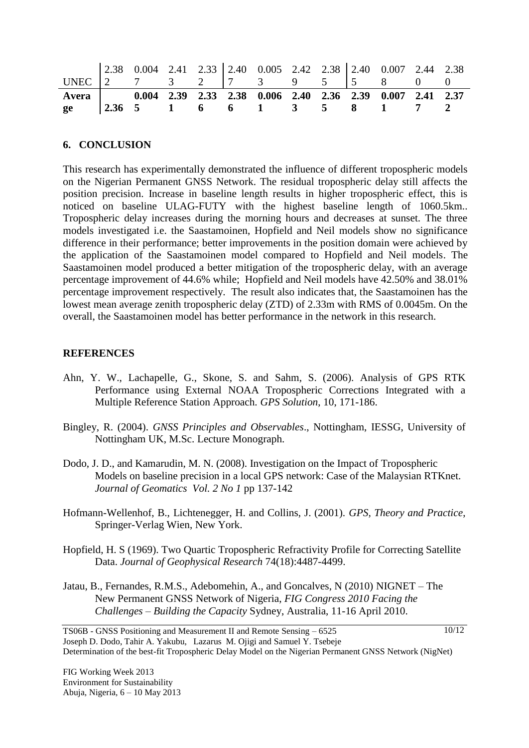| UNEC 2.38 0.004 2.41 2.33 2.40 0.005 2.42 2.38 2.40 0.007 2.44 2.38<br>UNEC 2 7 3 2 7 3 9 5 5 5 8 0 0 |  |  |  |  |  |  |
|-------------------------------------------------------------------------------------------------------|--|--|--|--|--|--|
| Avera   0.004 2.39 2.33 2.38 0.006 2.40 2.36 2.39 0.007 2.41 2.37<br>ge   2.36 5 1 6 6 1 3 5 8 1 7 2  |  |  |  |  |  |  |

#### **6. CONCLUSION**

This research has experimentally demonstrated the influence of different tropospheric models on the Nigerian Permanent GNSS Network. The residual tropospheric delay still affects the position precision. Increase in baseline length results in higher tropospheric effect, this is noticed on baseline ULAG-FUTY with the highest baseline length of 1060.5km.. Tropospheric delay increases during the morning hours and decreases at sunset. The three models investigated i.e. the Saastamoinen, Hopfield and Neil models show no significance difference in their performance; better improvements in the position domain were achieved by the application of the Saastamoinen model compared to Hopfield and Neil models. The Saastamoinen model produced a better mitigation of the tropospheric delay, with an average percentage improvement of 44.6% while; Hopfield and Neil models have 42.50% and 38.01% percentage improvement respectively. The result also indicates that, the Saastamoinen has the lowest mean average zenith tropospheric delay (ZTD) of 2.33m with RMS of 0.0045m. On the overall, the Saastamoinen model has better performance in the network in this research.

#### **REFERENCES**

- Ahn, Y. W., Lachapelle, G., Skone, S. and Sahm, S. (2006). Analysis of GPS RTK Performance using External NOAA Tropospheric Corrections Integrated with a Multiple Reference Station Approach. *GPS Solution*, 10, 171-186.
- Bingley, R. (2004). *GNSS Principles and Observables*., Nottingham, IESSG, University of Nottingham UK, M.Sc. Lecture Monograph.
- Dodo, J. D., and Kamarudin, M. N. (2008). Investigation on the Impact of Tropospheric Models on baseline precision in a local GPS network: Case of the Malaysian RTKnet. *Journal of Geomatics Vol. 2 No 1* pp 137-142
- Hofmann-Wellenhof, B., Lichtenegger, H. and Collins, J. (2001). *GPS, Theory and Practice*, Springer-Verlag Wien, New York.
- Hopfield, H. S (1969). Two Quartic Tropospheric Refractivity Profile for Correcting Satellite Data. *Journal of Geophysical Research* 74(18):4487-4499.
- Jatau, B., Fernandes, R.M.S., Adebomehin, A., and Goncalves, N (2010) NIGNET The New Permanent GNSS Network of Nigeria, *FIG Congress 2010 Facing the Challenges – Building the Capacity* Sydney, Australia, 11-16 April 2010.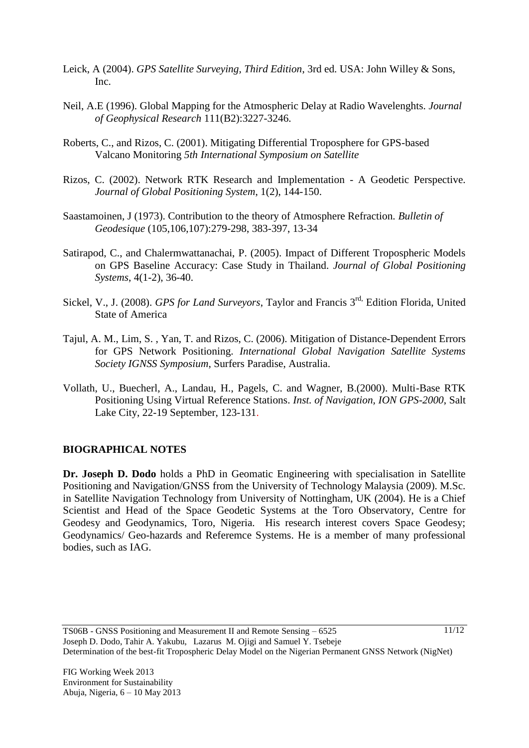- Leick, A (2004). *GPS Satellite Surveying, Third Edition*, 3rd ed. USA: John Willey & Sons, Inc.
- Neil, A.E (1996). Global Mapping for the Atmospheric Delay at Radio Wavelenghts. *Journal of Geophysical Research* 111(B2):3227-3246.
- Roberts, C., and Rizos, C. (2001). Mitigating Differential Troposphere for GPS-based Valcano Monitoring *5th International Symposium on Satellite*
- Rizos, C. (2002). Network RTK Research and Implementation A Geodetic Perspective. *Journal of Global Positioning System*, 1(2), 144-150.
- Saastamoinen, J (1973). Contribution to the theory of Atmosphere Refraction. *Bulletin of Geodesique* (105,106,107):279-298, 383-397, 13-34
- Satirapod, C., and Chalermwattanachai, P. (2005). Impact of Different Tropospheric Models on GPS Baseline Accuracy: Case Study in Thailand. *Journal of Global Positioning Systems*, 4(1-2), 36-40.
- Sickel, V., J. (2008). *GPS for Land Surveyors*, Taylor and Francis 3<sup>rd,</sup> Edition Florida, United State of America
- Tajul, A. M., Lim, S. , Yan, T. and Rizos, C. (2006). Mitigation of Distance-Dependent Errors for GPS Network Positioning. *International Global Navigation Satellite Systems Society IGNSS Symposium*, Surfers Paradise, Australia.
- Vollath, U., Buecherl, A., Landau, H., Pagels, C. and Wagner, B.(2000). Multi-Base RTK Positioning Using Virtual Reference Stations. *Inst. of Navigation, ION GPS-2000*, Salt Lake City, 22-19 September, 123-131.

## **BIOGRAPHICAL NOTES**

**Dr. Joseph D. Dodo** holds a PhD in Geomatic Engineering with specialisation in Satellite Positioning and Navigation/GNSS from the University of Technology Malaysia (2009). M.Sc. in Satellite Navigation Technology from University of Nottingham, UK (2004). He is a Chief Scientist and Head of the Space Geodetic Systems at the Toro Observatory, Centre for Geodesy and Geodynamics, Toro, Nigeria. His research interest covers Space Geodesy; Geodynamics/ Geo-hazards and Referemce Systems. He is a member of many professional bodies, such as IAG.